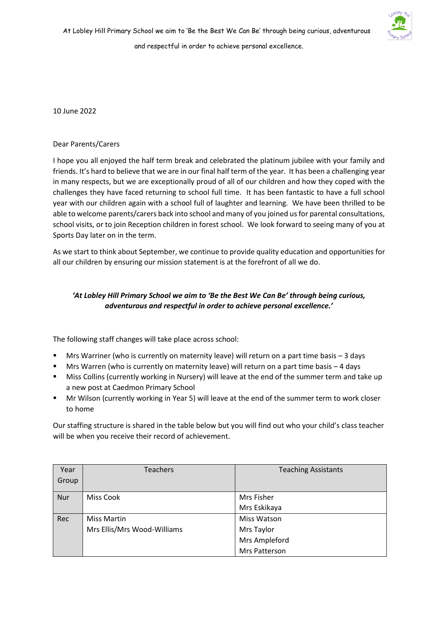

10 June 2022

## Dear Parents/Carers

I hope you all enjoyed the half term break and celebrated the platinum jubilee with your family and friends. It's hard to believe that we are in our final half term of the year. It has been a challenging year in many respects, but we are exceptionally proud of all of our children and how they coped with the challenges they have faced returning to school full time. It has been fantastic to have a full school year with our children again with a school full of laughter and learning. We have been thrilled to be able to welcome parents/carers back into school and many of you joined us for parental consultations, school visits, or to join Reception children in forest school. We look forward to seeing many of you at Sports Day later on in the term.

As we start to think about September, we continue to provide quality education and opportunities for all our children by ensuring our mission statement is at the forefront of all we do.

## *'At Lobley Hill Primary School we aim to 'Be the Best We Can Be' through being curious, adventurous and respectful in order to achieve personal excellence.'*

The following staff changes will take place across school:

- Mrs Warriner (who is currently on maternity leave) will return on a part time basis  $-3$  days
- Mrs Warren (who is currently on maternity leave) will return on a part time basis 4 days
- Miss Collins (currently working in Nursery) will leave at the end of the summer term and take up a new post at Caedmon Primary School
- Mr Wilson (currently working in Year 5) will leave at the end of the summer term to work closer to home

Our staffing structure is shared in the table below but you will find out who your child's class teacher will be when you receive their record of achievement.

| Year       | Teachers                    | <b>Teaching Assistants</b> |
|------------|-----------------------------|----------------------------|
| Group      |                             |                            |
|            |                             |                            |
| <b>Nur</b> | <b>Miss Cook</b>            | Mrs Fisher                 |
|            |                             | Mrs Eskikaya               |
| Rec        | <b>Miss Martin</b>          | Miss Watson                |
|            | Mrs Ellis/Mrs Wood-Williams | Mrs Taylor                 |
|            |                             | Mrs Ampleford              |
|            |                             | Mrs Patterson              |